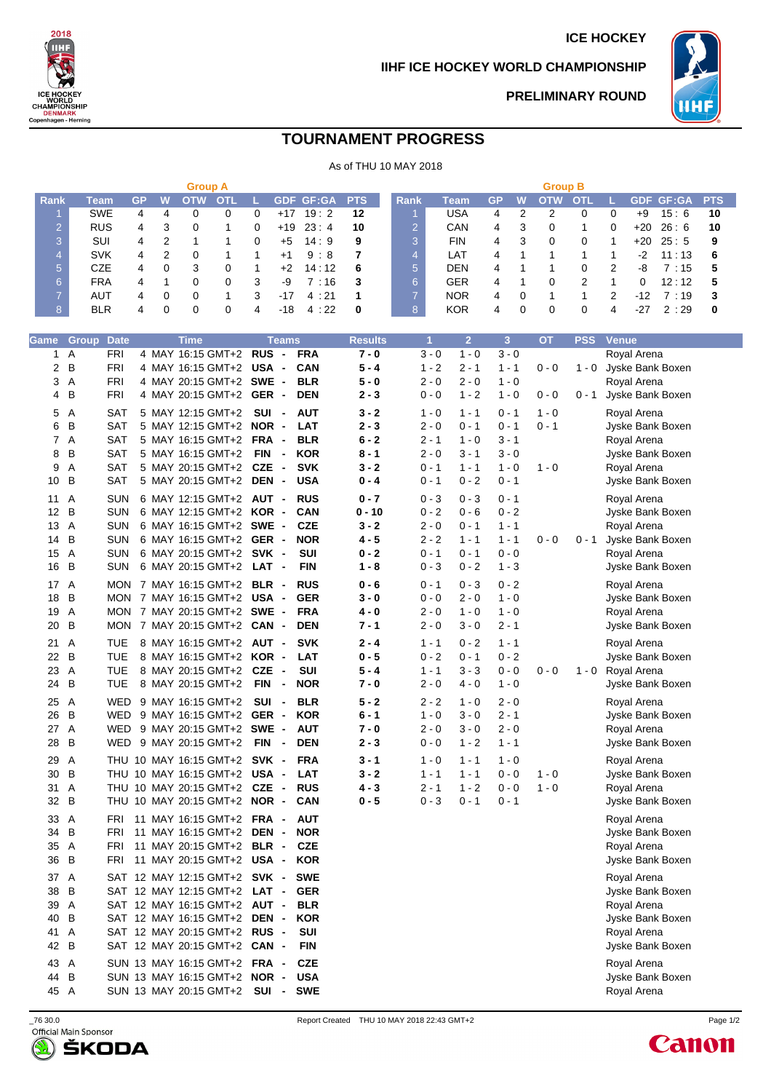



## **IIHF ICE HOCKEY WORLD CHAMPIONSHIP**



**PRELIMINARY ROUND**

## **TOURNAMENT PROGRESS**

|      |            |           |   | <b>Group A</b> |            |   |       |               |     |             |            |    |   | <b>Group B</b> |            |          |          |                      |          |  |
|------|------------|-----------|---|----------------|------------|---|-------|---------------|-----|-------------|------------|----|---|----------------|------------|----------|----------|----------------------|----------|--|
| Rank | Team       | <b>GP</b> | w | <b>OTW</b>     | <b>OTI</b> |   |       | GDF GF:GA PTS |     | <b>Rank</b> | Team       | GP | W | OTW            | <b>OTI</b> |          |          | <b>GDF GF:GA PTS</b> |          |  |
|      | <b>SWE</b> | 4         | 4 |                |            | 0 | $+17$ | 19:2          | 12  |             | USA        | 4  |   |                |            | 0        | $+9$     | 15:6                 | 10       |  |
| (2)  | <b>RUS</b> | 4         | 3 |                |            | 0 | $+19$ | 23:4          | 10  |             | CAN        | 4  |   |                |            | $\Omega$ | $+20$    | 26:6                 | 10       |  |
| 3    | SUI        | 4         |   |                |            | 0 | $+5$  | 14:9          | 9   |             | <b>FIN</b> | 4  | 3 |                |            |          | $+20$    | 25:5                 | 9        |  |
| 4    | <b>SVK</b> | 4         | 2 |                |            |   | $+1$  | 9:8           |     |             | LAT        | 4  |   |                |            |          | $-2$     | 11 : 13              | -6       |  |
| 15.  | CZE        | 4         |   | 3              |            |   | $+2$  | 14:12         | 6   |             | <b>DEN</b> | 4  |   |                |            | 2        | -8       | 7:15                 | 5        |  |
| 6    | <b>FRA</b> |           |   |                |            | 3 | -9    | 7:16          | - 3 |             | <b>GER</b> | 4  |   |                | 2          |          | $\Omega$ | 12:12                | 5        |  |
| 7.   | AUT        | 4         |   |                |            | 3 | $-17$ | 4:21          |     |             | <b>NOR</b> | 4  |   |                |            | 2        | -12      | 7:19                 | 3        |  |
| 8    | <b>BLR</b> |           |   |                |            | 4 | $-18$ | 4:22          | 0   |             | <b>KOR</b> | 4  |   |                |            |          | -27      | 2:29                 | $\bf{0}$ |  |

| Game | Group          | <b>Date</b> | Time                           | <b>Teams</b>                                         | <b>Results</b> | $\overline{1}$ | $\overline{2}$ | $\overline{\mathbf{3}}$ | <b>OT</b> | <b>PSS</b> | <b>Venue</b>           |
|------|----------------|-------------|--------------------------------|------------------------------------------------------|----------------|----------------|----------------|-------------------------|-----------|------------|------------------------|
| 1    | Α              | <b>FRI</b>  | 4 MAY 16:15 GMT+2              | RUS -<br><b>FRA</b>                                  | $7 - 0$        | $3 - 0$        | $1 - 0$        | $3 - 0$                 |           |            | Royal Arena            |
| 2    | B              | <b>FRI</b>  | 4 MAY 16:15 GMT+2              | <b>USA</b><br><b>CAN</b><br>$\blacksquare$           | $5 - 4$        | $1 - 2$        | $2 - 1$        | $1 - 1$                 | $0 - 0$   |            | 1 - 0 Jyske Bank Boxen |
| 3    | A              | <b>FRI</b>  | 4 MAY 20:15 GMT+2 SWE -        | <b>BLR</b>                                           | $5 - 0$        | $2 - 0$        | $2 - 0$        | $1 - 0$                 |           |            | Royal Arena            |
| 4    | B              | FRI         | 4 MAY 20:15 GMT+2 GER -        | <b>DEN</b>                                           | $2 - 3$        | $0 - 0$        | $1 - 2$        | $1 - 0$                 | $0 - 0$   | $0 - 1$    | Jyske Bank Boxen       |
|      | Α              | <b>SAT</b>  | 5 MAY 12:15 GMT+2              | <b>AUT</b><br>SUI -                                  | $3 - 2$        | $1 - 0$        | $1 - 1$        | $0 - 1$                 | $1 - 0$   |            | Royal Arena            |
| 5    |                |             |                                |                                                      |                |                |                |                         |           |            |                        |
| 6    | B              | <b>SAT</b>  | 5 MAY 12:15 GMT+2 NOR -        | <b>LAT</b>                                           | $2 - 3$        | $2 - 0$        | $0 - 1$        | $0 - 1$                 | $0 - 1$   |            | Jyske Bank Boxen       |
| 7    | A              | <b>SAT</b>  | 5 MAY 16:15 GMT+2              | FRA -<br><b>BLR</b>                                  | $6 - 2$        | $2 - 1$        | $1 - 0$        | $3 - 1$                 |           |            | Royal Arena            |
| 8    | B              | SAT         | 5 MAY 16:15 GMT+2              | <b>KOR</b><br>FIN -                                  | $8 - 1$        | $2 - 0$        | $3 - 1$        | $3 - 0$                 |           |            | Jyske Bank Boxen       |
| 9    | Α              | <b>SAT</b>  | 5 MAY 20:15 GMT+2              | <b>CZE</b><br><b>SVK</b><br>$\sim$                   | $3 - 2$        | $0 - 1$        | $1 - 1$        | $1 - 0$                 | $1 - 0$   |            | Royal Arena            |
| 10   | B              | <b>SAT</b>  | 5 MAY 20:15 GMT+2              | DEN -<br><b>USA</b>                                  | $0 - 4$        | $0 - 1$        | $0 - 2$        | $0 - 1$                 |           |            | Jyske Bank Boxen       |
| 11   | A              | <b>SUN</b>  | 6 MAY 12:15 GMT+2 <b>AUT -</b> | <b>RUS</b>                                           | $0 - 7$        | $0 - 3$        | $0 - 3$        | $0 - 1$                 |           |            | Royal Arena            |
| 12   | B              | <b>SUN</b>  | 6 MAY 12:15 GMT+2 KOR -        | <b>CAN</b>                                           | $0 - 10$       | $0 - 2$        | $0 - 6$        | $0 - 2$                 |           |            | Jyske Bank Boxen       |
| 13   | A              | <b>SUN</b>  | 6 MAY 16:15 GMT+2 SWE -        | <b>CZE</b>                                           | $3 - 2$        | $2 - 0$        | $0 - 1$        | $1 - 1$                 |           |            | Royal Arena            |
| 14   | B              | <b>SUN</b>  | 6 MAY 16:15 GMT+2 GER -        | <b>NOR</b>                                           | $4 - 5$        | $2 - 2$        | $1 - 1$        | $1 - 1$                 | $0 - 0$   | $0 - 1$    | Jyske Bank Boxen       |
| 15   | A              | <b>SUN</b>  | 6 MAY 20:15 GMT+2 SVK -        | <b>SUI</b>                                           | $0 - 2$        | $0 - 1$        | $0 - 1$        | $0 - 0$                 |           |            | Royal Arena            |
| 16   | B              | <b>SUN</b>  | 6 MAY 20:15 GMT+2 LAT -        | <b>FIN</b>                                           | $1 - 8$        | $0 - 3$        | $0 - 2$        | $1 - 3$                 |           |            | Jyske Bank Boxen       |
|      |                |             |                                |                                                      |                |                |                |                         |           |            |                        |
| 17   | A              | <b>MON</b>  | 7 MAY 16:15 GMT+2 BLR -        | <b>RUS</b>                                           | $0 - 6$        | $0 - 1$        | $0 - 3$        | $0 - 2$                 |           |            | Royal Arena            |
| 18   | B              | <b>MON</b>  | 7 MAY 16:15 GMT+2 USA -        | <b>GER</b>                                           | $3 - 0$        | $0 - 0$        | $2 - 0$        | $1 - 0$                 |           |            | Jyske Bank Boxen       |
| 19   | A              | <b>MON</b>  | 7 MAY 20:15 GMT+2 SWE -        | <b>FRA</b>                                           | 4 - 0          | $2 - 0$        | $1 - 0$        | $1 - 0$                 |           |            | Royal Arena            |
| 20   | $\overline{B}$ |             | MON 7 MAY 20:15 GMT+2 CAN      | <b>DEN</b><br>$\overline{\phantom{a}}$               | $7 - 1$        | $2 - 0$        | $3 - 0$        | $2 - 1$                 |           |            | Jyske Bank Boxen       |
| 21   | A              | <b>TUE</b>  | 8 MAY 16:15 GMT+2 AUT -        | <b>SVK</b>                                           | 2 - 4          | $1 - 1$        | $0 - 2$        | $1 - 1$                 |           |            | Royal Arena            |
| 22   | B              | <b>TUE</b>  | 8 MAY 16:15 GMT+2 KOR -        | <b>LAT</b>                                           | $0 - 5$        | $0 - 2$        | $0 - 1$        | $0 - 2$                 |           |            | Jyske Bank Boxen       |
| 23   | $\overline{A}$ | <b>TUE</b>  | 8 MAY 20:15 GMT+2              | <b>CZE</b><br><b>SUI</b><br>$\sim$                   | $5 - 4$        | $1 - 1$        | $3 - 3$        | $0 - 0$                 | $0 - 0$   | $1 - 0$    | Royal Arena            |
| 24   | B              | <b>TUE</b>  | 8 MAY 20:15 GMT+2              | <b>FIN</b><br><b>NOR</b><br>$\sim$                   | $7 - 0$        | $2 - 0$        | 4 - 0          | $1 - 0$                 |           |            | Jyske Bank Boxen       |
| 25   | A              | <b>WED</b>  | 9 MAY 16:15 GMT+2              | SUI<br><b>BLR</b><br>$\sim$                          | $5 - 2$        | $2 - 2$        | $1 - 0$        | $2 - 0$                 |           |            | Royal Arena            |
| 26   | B              | <b>WED</b>  | 9 MAY 16:15 GMT+2 GER -        | <b>KOR</b>                                           | $6 - 1$        | $1 - 0$        | $3 - 0$        | $2 - 1$                 |           |            |                        |
|      | A              | <b>WED</b>  |                                | <b>AUT</b>                                           | $7 - 0$        | $2 - 0$        |                |                         |           |            | Jyske Bank Boxen       |
| 27   |                |             | 9 MAY 20:15 GMT+2 SWE -        |                                                      |                |                | $3 - 0$        | $2 - 0$                 |           |            | Royal Arena            |
| 28   | B              | WED         | 9 MAY 20:15 GMT+2              | <b>FIN</b><br><b>DEN</b><br>$\overline{\phantom{a}}$ | $2 - 3$        | $0 - 0$        | $1 - 2$        | $1 - 1$                 |           |            | Jyske Bank Boxen       |
| 29   | A              |             | THU 10 MAY 16:15 GMT+2 SVK -   | <b>FRA</b>                                           | $3 - 1$        | $1 - 0$        | $1 - 1$        | $1 - 0$                 |           |            | Royal Arena            |
| 30   | B              |             | THU 10 MAY 16:15 GMT+2         | USA -<br><b>LAT</b>                                  | $3 - 2$        | $1 - 1$        | $1 - 1$        | $0 - 0$                 | $1 - 0$   |            | Jyske Bank Boxen       |
| 31   | Α              | THU         | 10 MAY 20:15 GMT+2             | <b>CZE</b><br><b>RUS</b><br>$\overline{\phantom{a}}$ | $4 - 3$        | $2 - 1$        | $1 - 2$        | $0 - 0$                 | $1 - 0$   |            | Royal Arena            |
| 32   | B              |             | THU 10 MAY 20:15 GMT+2 NOR -   | CAN                                                  | $0 - 5$        | $0 - 3$        | $0 - 1$        | $0 - 1$                 |           |            | Jyske Bank Boxen       |
| 33   | $\overline{A}$ | <b>FRI</b>  | 11 MAY 16:15 GMT+2 FRA -       | <b>AUT</b>                                           |                |                |                |                         |           |            | Royal Arena            |
| 34   | B              | <b>FRI</b>  | 11 MAY 16:15 GMT+2             | DEN -<br><b>NOR</b>                                  |                |                |                |                         |           |            | Jyske Bank Boxen       |
| 35   | $\overline{A}$ | <b>FRI</b>  | 11 MAY 20:15 GMT+2             | <b>CZE</b><br>BLR -                                  |                |                |                |                         |           |            | Royal Arena            |
|      | B              | <b>FRI</b>  | 11 MAY 20:15 GMT+2             | USA -<br><b>KOR</b>                                  |                |                |                |                         |           |            |                        |
| 36   |                |             |                                |                                                      |                |                |                |                         |           |            | Jyske Bank Boxen       |
| 37   | A              | SAT         | 12 MAY 12:15 GMT+2             | SVK -<br><b>SWE</b>                                  |                |                |                |                         |           |            | Royal Arena            |
| 38   | B              |             | SAT 12 MAY 12:15 GMT+2         | LAT -<br><b>GER</b>                                  |                |                |                |                         |           |            | Jyske Bank Boxen       |
| 39   | A              |             | SAT 12 MAY 16:15 GMT+2 AUT -   | <b>BLR</b>                                           |                |                |                |                         |           |            | Royal Arena            |
| 40   | B              |             | SAT 12 MAY 16:15 GMT+2         | <b>KOR</b><br>DEN -                                  |                |                |                |                         |           |            | Jyske Bank Boxen       |
| 41   | Α              |             | SAT 12 MAY 20:15 GMT+2         | RUS -<br>SUI                                         |                |                |                |                         |           |            | Royal Arena            |
| 42   | B              |             | SAT 12 MAY 20:15 GMT+2 CAN -   | <b>FIN</b>                                           |                |                |                |                         |           |            | Jyske Bank Boxen       |
| 43   | A              |             | SUN 13 MAY 16:15 GMT+2 FRA -   | <b>CZE</b>                                           |                |                |                |                         |           |            | Royal Arena            |
| 44   | B              | <b>SUN</b>  | 13 MAY 16:15 GMT+2             | <b>USA</b><br>NOR -                                  |                |                |                |                         |           |            |                        |
|      |                |             |                                |                                                      |                |                |                |                         |           |            | Jyske Bank Boxen       |
| 45   | A              |             | SUN 13 MAY 20:15 GMT+2         | SUI -<br><b>SWE</b>                                  |                |                |                |                         |           |            | Royal Arena            |